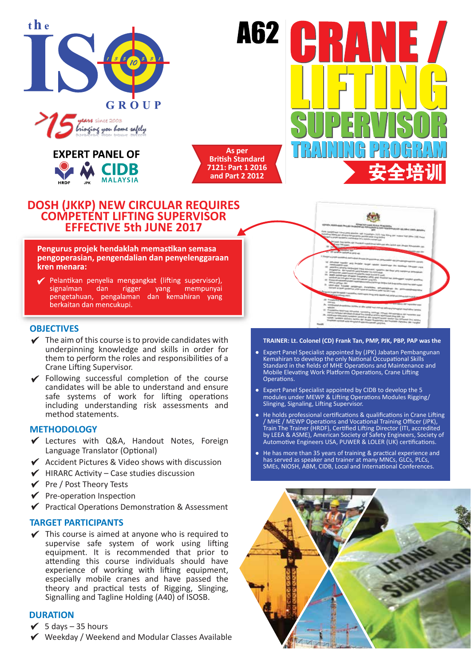

**MAAA** SULLA DOOR 'ninging you bome safely



**As per British Standard 7121: Part 1 2016 and Part 2 2012**

**A62 |** 

# **DOSH (JKKP) NEW CIRCULAR REQUIRES COMPETENT LIFTING SUPERVISOR EFFECTIVE 5th JUNE 2017**

#### Pengurus projek hendaklah memastikan semasa pengoperasian, pengendalian dan penyelenggaraan kren menara:

Pelantikan penyelia mengangkat (lifting supervisor), signalman dan rigger vang mempunyai pengetahuan, pengalaman dan kemahiran yang berkaitan dan mencukupi.

# **OBJECTIVES**

- $\checkmark$  The aim of this course is to provide candidates with underpinning knowledge and skills in order for them to perform the roles and responsibilities of a Crane Lifting Supervisor.
- Following successful completion of the course candidates will be able to understand and ensure safe systems of work for lifting operations including understanding risk assessments and method statements.

## **METHODOLOGY**

- Lectures with Q&A, Handout Notes, Foreign Language Translator (Optional)
- $\checkmark$  Accident Pictures & Video shows with discussion
- $\blacktriangleright$  HIRARC Activity Case studies discussion
- $\checkmark$  Pre / Post Theory Tests
- $\checkmark$  Pre-operation Inspection
- $\checkmark$  Practical Operations Demonstration & Assessment

## **TARGET PARTICIPANTS**

 $\checkmark$  This course is aimed at anyone who is required to supervise safe system of work using lifting equipment. It is recommended that prior to attending this course individuals should have experience of working with lifting equipment, especially mobile cranes and have passed the theory and practical tests of Rigging, Slinging, Signalling and Tagline Holding (A40) of ISOSB.

# **DURATION**

- $\checkmark$  5 days 35 hours
- Weekday / Weekend and Modular Classes Available



#### **TRAINER: Lt. Colonel (CD) Frank Tan, PMP, PJK, PBP, PAP was the**

- Expert Panel Specialist appointed by (JPK) Jabatan Pembangunan Kemahiran to develop the only National Occupational Skills Standard in the fields of MHE Operations and Maintenance and Mobile Elevating Work Platform Operations, Crane Lifting Operations.
- Expert Panel Specialist appointed by CIDB to develop the 5 modules under MEWP & Lifting Operations Modules Rigging/ Slinging, Signaling, Lifting Supervisor.
- He holds professional certifications & qualifications in Crane Lifting / MHE / MEWP Operations and Vocational Training Officer (JPK), Train The Trainer (HRDF), Certified Lifting Director (ITI, accredited by LEEA & ASME), American Society of Safety Engineers, Society of Automotive Engineers USA, PUWER & LOLER (UK) certifications.
- He has more than 35 years of training & practical experience and has served as speaker and trainer at many MNCs, GLCs, PLCs, SMEs, NIOSH, ABM, CIDB, Local and International Conferences.